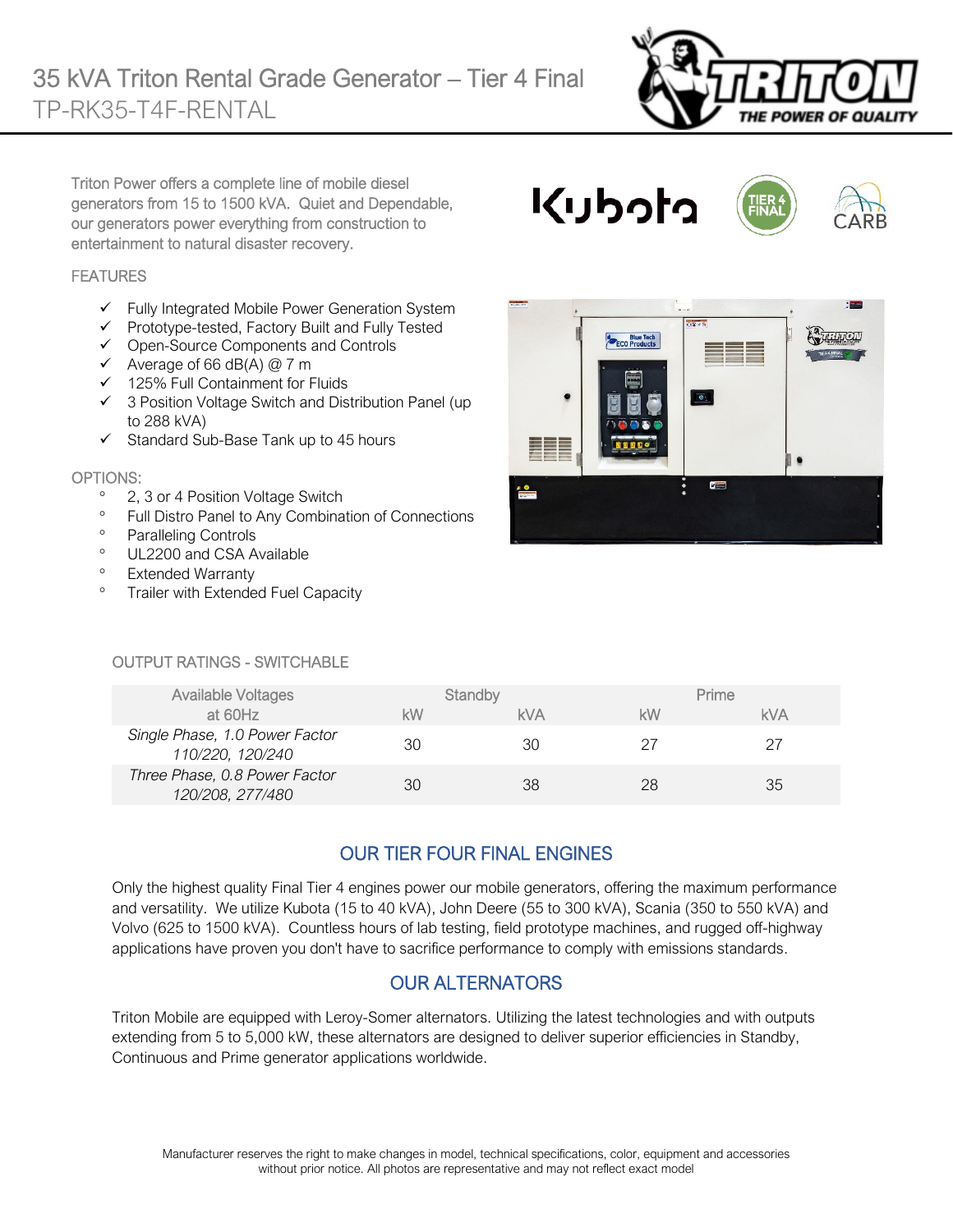

Triton Power offers a complete line of mobile diesel generators from 15 to 1500 kVA. Quiet and Dependable, our generators power everything from construction to entertainment to natural disaster recovery.

#### **FEATURES**

- $\checkmark$  Fully Integrated Mobile Power Generation System
- ✓ Prototype-tested, Factory Built and Fully Tested
- ✓ Open-Source Components and Controls
- $\checkmark$  Average of 66 dB(A) @ 7 m
- ✓ 125% Full Containment for Fluids
- ✓ 3 Position Voltage Switch and Distribution Panel (up to 288 kVA)
- ✓ Standard Sub-Base Tank up to 45 hours

#### OPTIONS:

- <sup>o</sup> 2, 3 or 4 Position Voltage Switch
- <sup>o</sup> Full Distro Panel to Any Combination of Connections
- <sup>o</sup> Paralleling Controls
- <sup>o</sup> UL2200 and CSA Available
- <sup>o</sup> Extended Warranty
- <sup>o</sup> Trailer with Extended Fuel Capacity

#### OUTPUT RATINGS - SWITCHABLE

| <b>Available Voltages</b>                          |    | Standby |    | Prime      |
|----------------------------------------------------|----|---------|----|------------|
| at 60Hz                                            | kW | kVA     | kW | <b>kVA</b> |
| Single Phase, 1.0 Power Factor<br>110/220, 120/240 | 30 | 30      | 27 | 27         |
| Three Phase, 0.8 Power Factor<br>120/208, 277/480  | 30 | 38      | 28 | 35         |

## OUR TIER FOUR FINAL ENGINES

Only the highest quality Final Tier 4 engines power our mobile generators, offering the maximum performance and versatility. We utilize Kubota (15 to 40 kVA), John Deere (55 to 300 kVA), Scania (350 to 550 kVA) and Volvo (625 to 1500 kVA). Countless hours of lab testing, field prototype machines, and rugged off-highway applications have proven you don't have to sacrifice performance to comply with emissions standards.

## OUR ALTERNATORS

Triton Mobile are equipped with Leroy-Somer alternators. Utilizing the latest technologies and with outputs extending from 5 to 5,000 kW, these alternators are designed to deliver superior efficiencies in Standby, Continuous and Prime generator applications worldwide.



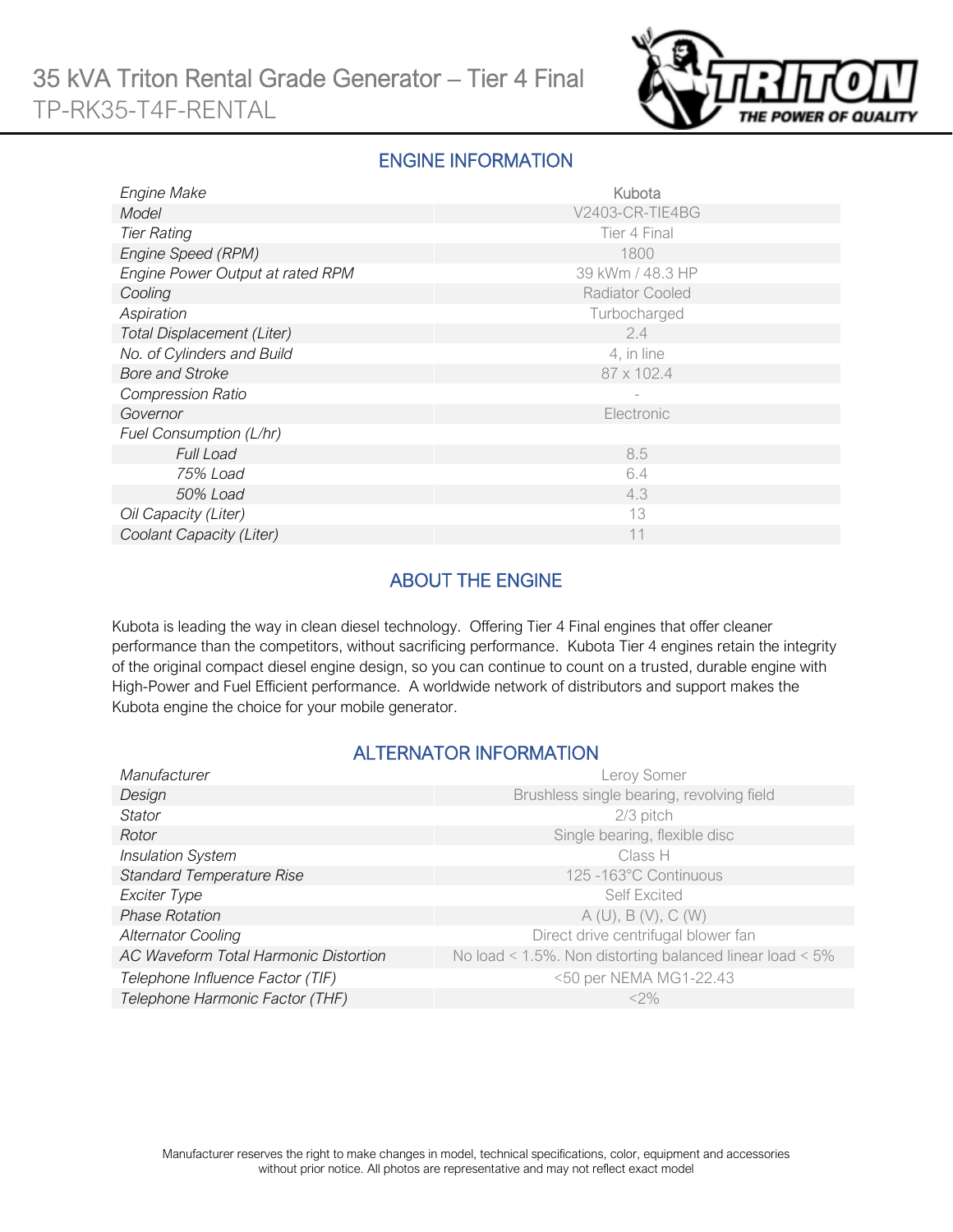

#### ENGINE INFORMATION

| Engine Make                      | Kubota           |  |  |
|----------------------------------|------------------|--|--|
| Model                            | V2403-CR-TIE4BG  |  |  |
| <b>Tier Rating</b>               | Tier 4 Final     |  |  |
| Engine Speed (RPM)               | 1800             |  |  |
| Engine Power Output at rated RPM | 39 kWm / 48.3 HP |  |  |
| Cooling                          | Radiator Cooled  |  |  |
| Aspiration                       | Turbocharged     |  |  |
| Total Displacement (Liter)       | 2.4              |  |  |
| No. of Cylinders and Build       | 4, in line       |  |  |
| <b>Bore and Stroke</b>           | 87 x 102.4       |  |  |
| <b>Compression Ratio</b>         |                  |  |  |
| Governor                         | Electronic       |  |  |
| Fuel Consumption (L/hr)          |                  |  |  |
| <b>Full Load</b>                 | 8.5              |  |  |
| 75% Load                         | 6.4              |  |  |
| 50% Load                         | 4.3              |  |  |
| Oil Capacity (Liter)             | 13               |  |  |
| Coolant Capacity (Liter)         | 11               |  |  |

## ABOUT THE ENGINE

Kubota is leading the way in clean diesel technology. Offering Tier 4 Final engines that offer cleaner performance than the competitors, without sacrificing performance. Kubota Tier 4 engines retain the integrity of the original compact diesel engine design, so you can continue to count on a trusted, durable engine with High-Power and Fuel Efficient performance. A worldwide network of distributors and support makes the Kubota engine the choice for your mobile generator.

#### ALTERNATOR INFORMATION

| Manufacturer                          | Leroy Somer                                                     |
|---------------------------------------|-----------------------------------------------------------------|
| Design                                | Brushless single bearing, revolving field                       |
| Stator                                | 2/3 pitch                                                       |
| Rotor                                 | Single bearing, flexible disc                                   |
| <b>Insulation System</b>              | Class H                                                         |
| <b>Standard Temperature Rise</b>      | 125 -163°C Continuous                                           |
| Exciter Type                          | <b>Self Excited</b>                                             |
| <b>Phase Rotation</b>                 | A(U), B(V), C(W)                                                |
| <b>Alternator Cooling</b>             | Direct drive centrifugal blower fan                             |
| AC Waveform Total Harmonic Distortion | No load < $1.5\%$ . Non distorting balanced linear load < $5\%$ |
| Telephone Influence Factor (TIF)      | <50 per NEMA MG1-22.43                                          |
| Telephone Harmonic Factor (THF)       | $<$ 2%                                                          |
|                                       |                                                                 |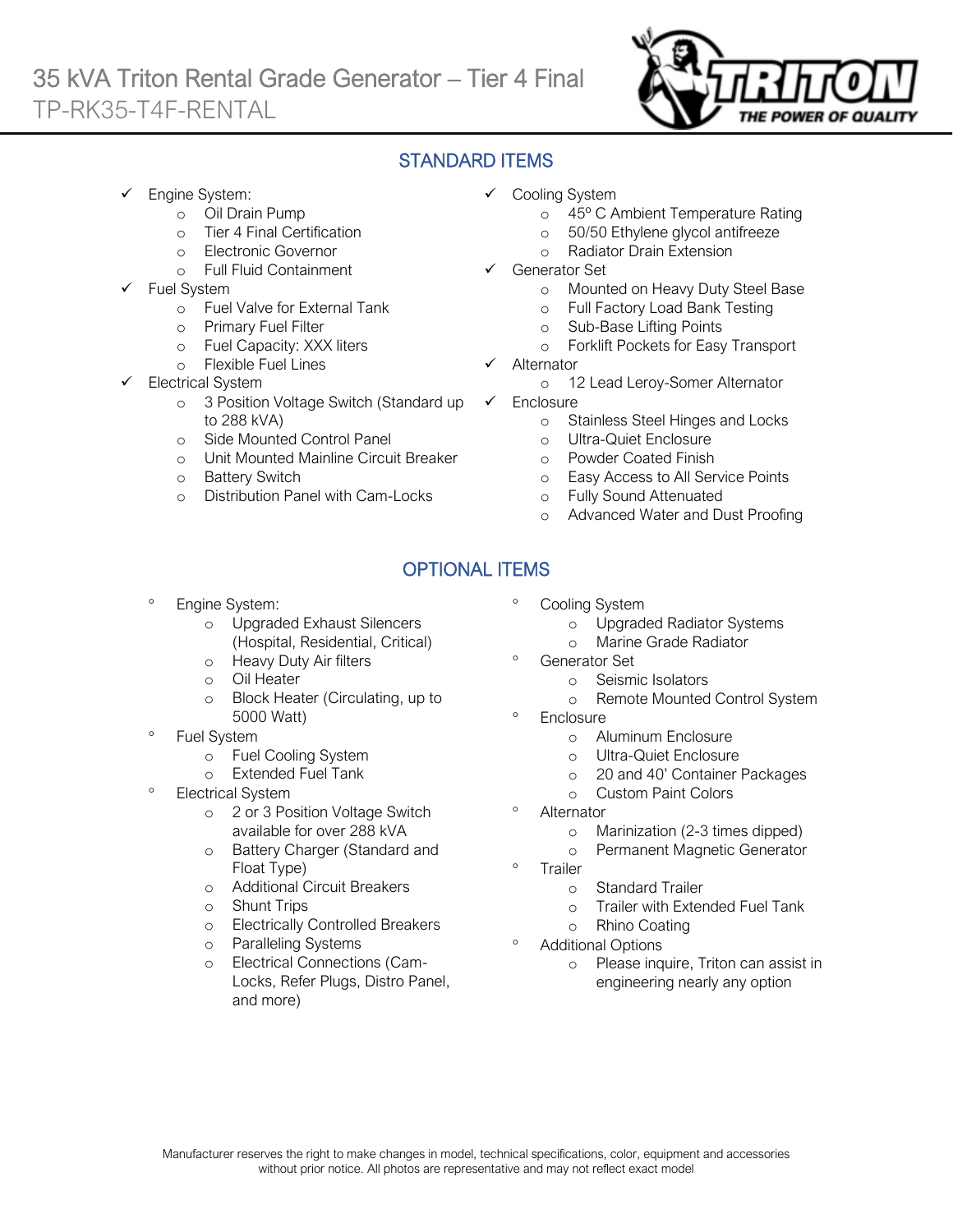## 35 kVA Triton Rental Grade Generator – Tier 4 Final TP-RK35-T4F-RENTAL  $\overline{a}$



### STANDARD ITEMS

- Engine System:
	- o Oil Drain Pump
	- o Tier 4 Final Certification
	- o Electronic Governor
	- o Full Fluid Containment
- Fuel System
	- o Fuel Valve for External Tank
	- o Primary Fuel Filter
	- o Fuel Capacity: XXX liters
	- o Flexible Fuel Lines
- Electrical System
	- o 3 Position Voltage Switch (Standard up to 288 kVA)
	- o Side Mounted Control Panel
	- o Unit Mounted Mainline Circuit Breaker
	- o Battery Switch
	- o Distribution Panel with Cam-Locks
- ✓ Cooling System
	- o 45º C Ambient Temperature Rating
	- o 50/50 Ethylene glycol antifreeze
	- o Radiator Drain Extension
- Generator Set
	- o Mounted on Heavy Duty Steel Base
	- o Full Factory Load Bank Testing
	- o Sub-Base Lifting Points
	- o Forklift Pockets for Easy Transport
- **Alternator** 
	- o 12 Lead Leroy-Somer Alternator
- ✓ Enclosure
	- o Stainless Steel Hinges and Locks
	- o Ultra-Quiet Enclosure
	- o Powder Coated Finish
	- o Easy Access to All Service Points
	- o Fully Sound Attenuated
	- o Advanced Water and Dust Proofing

# OPTIONAL ITEMS

- Engine System:
	- o Upgraded Exhaust Silencers (Hospital, Residential, Critical)
	- o Heavy Duty Air filters
	- o Oil Heater
	- o Block Heater (Circulating, up to 5000 Watt)
- Fuel System
	- o Fuel Cooling System
	- o Extended Fuel Tank
- <sup>o</sup> Electrical System
	- o 2 or 3 Position Voltage Switch available for over 288 kVA
	- o Battery Charger (Standard and Float Type)
	- o Additional Circuit Breakers
	- o Shunt Trips
	- o Electrically Controlled Breakers
	- o Paralleling Systems
	- o Electrical Connections (Cam-Locks, Refer Plugs, Distro Panel, and more)
- <sup>o</sup> Cooling System
	- o Upgraded Radiator Systems
	- o Marine Grade Radiator
	- Generator Set
		- o Seismic Isolators
		- o Remote Mounted Control System
- **Enclosure** 
	- o Aluminum Enclosure
	- o Ultra-Quiet Enclosure
	- o 20 and 40' Container Packages
	- o Custom Paint Colors
- **Alternator** 
	- o Marinization (2-3 times dipped)
	- o Permanent Magnetic Generator
- Trailer
	- o Standard Trailer
	- o Trailer with Extended Fuel Tank
	- o Rhino Coating
- Additional Options
	- o Please inquire, Triton can assist in engineering nearly any option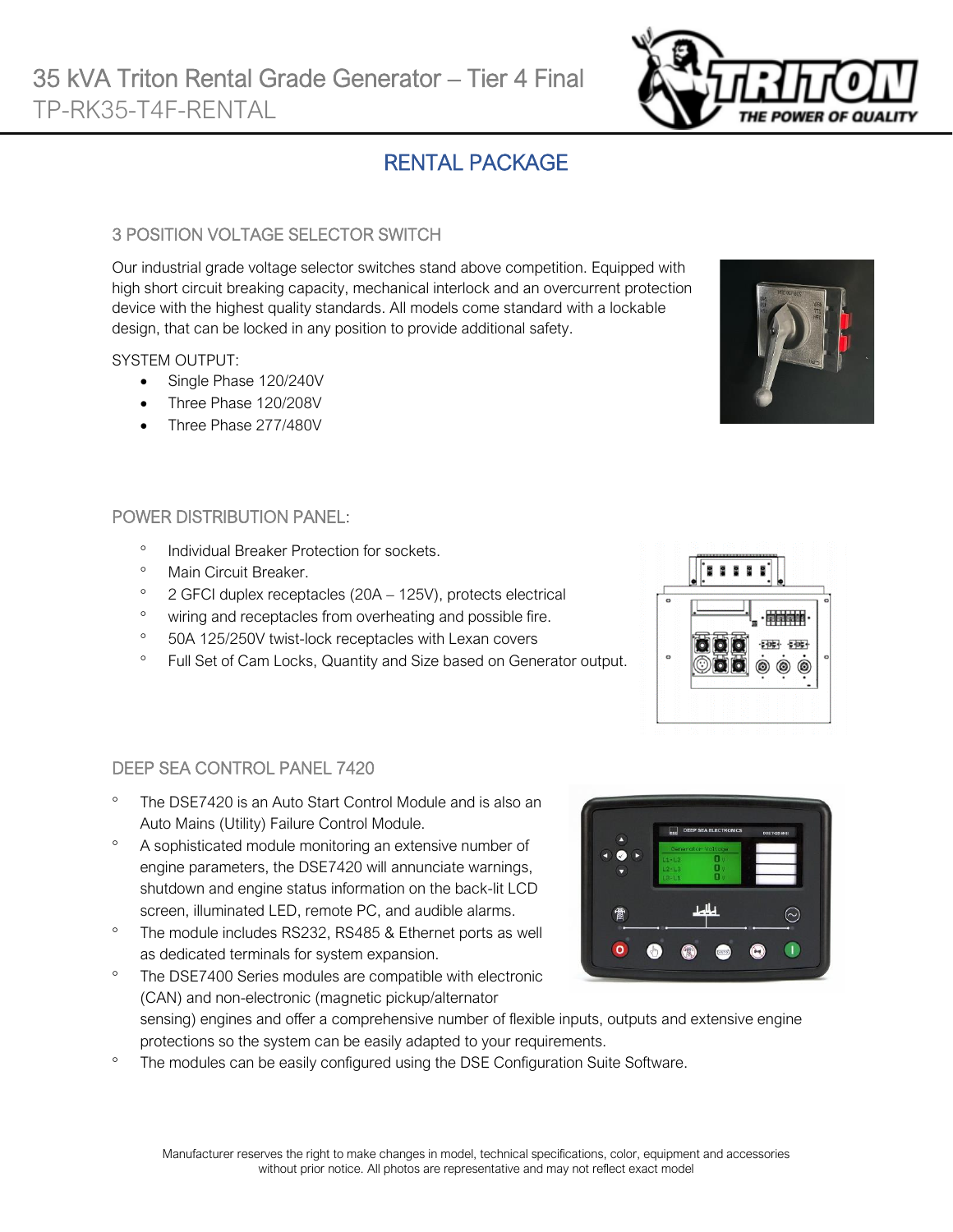# RENTAL PACKAGE

#### 3 POSITION VOLTAGE SELECTOR SWITCH

Our industrial grade voltage selector switches stand above competition. Equipped with high short circuit breaking capacity, mechanical interlock and an overcurrent protection device with the highest quality standards. All models come standard with a lockable design, that can be locked in any position to provide additional safety.

#### SYSTEM OUTPUT:

- Single Phase 120/240V
- Three Phase 120/208V
- Three Phase 277/480V

#### POWER DISTRIBUTION PANEL:

- <sup>o</sup> Individual Breaker Protection for sockets.
- Main Circuit Breaker.

DEEP SEA CONTROL PANEL 7420

- $\degree$  2 GFCI duplex receptacles (20A 125V), protects electrical
- <sup>o</sup> wiring and receptacles from overheating and possible fire.
- <sup>o</sup> 50A 125/250V twist-lock receptacles with Lexan covers
- <sup>o</sup> Full Set of Cam Locks, Quantity and Size based on Generator output.



- A sophisticated module monitoring an extensive number of engine parameters, the DSE7420 will annunciate warnings, shutdown and engine status information on the back-lit LCD screen, illuminated LED, remote PC, and audible alarms.
- <sup>o</sup> The module includes RS232, RS485 & Ethernet ports as well as dedicated terminals for system expansion.

The DSE7400 Series modules are compatible with electronic

- (CAN) and non-electronic (magnetic pickup/alternator sensing) engines and offer a comprehensive number of flexible inputs, outputs and extensive engine protections so the system can be easily adapted to your requirements.
- <sup>o</sup> The modules can be easily configured using the DSE Configuration Suite Software.





 $F$  pr  $\overline{F}$ 

 $\widehat{\sim}$ 

 $\blacksquare$